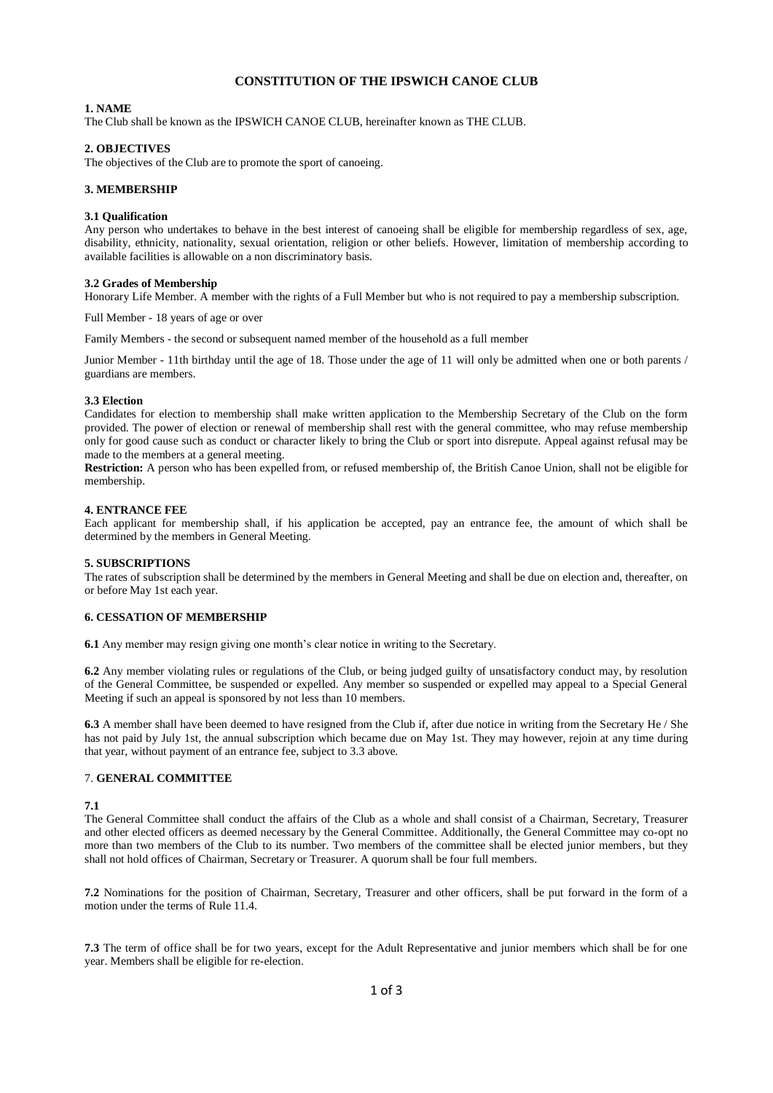# **CONSTITUTION OF THE IPSWICH CANOE CLUB**

## **1. NAME**

The Club shall be known as the IPSWICH CANOE CLUB, hereinafter known as THE CLUB.

## **2. OBJECTIVES**

The objectives of the Club are to promote the sport of canoeing.

## **3. MEMBERSHIP**

## **3.1 Qualification**

Any person who undertakes to behave in the best interest of canoeing shall be eligible for membership regardless of sex, age, disability, ethnicity, nationality, sexual orientation, religion or other beliefs. However, limitation of membership according to available facilities is allowable on a non discriminatory basis.

## **3.2 Grades of Membership**

Honorary Life Member. A member with the rights of a Full Member but who is not required to pay a membership subscription.

Full Member - 18 years of age or over

Family Members - the second or subsequent named member of the household as a full member

Junior Member - 11th birthday until the age of 18. Those under the age of 11 will only be admitted when one or both parents / guardians are members.

### **3.3 Election**

Candidates for election to membership shall make written application to the Membership Secretary of the Club on the form provided. The power of election or renewal of membership shall rest with the general committee, who may refuse membership only for good cause such as conduct or character likely to bring the Club or sport into disrepute. Appeal against refusal may be made to the members at a general meeting.

**Restriction:** A person who has been expelled from, or refused membership of, the British Canoe Union, shall not be eligible for membership.

### **4. ENTRANCE FEE**

Each applicant for membership shall, if his application be accepted, pay an entrance fee, the amount of which shall be determined by the members in General Meeting.

## **5. SUBSCRIPTIONS**

The rates of subscription shall be determined by the members in General Meeting and shall be due on election and, thereafter, on or before May 1st each year.

# **6. CESSATION OF MEMBERSHIP**

**6.1** Any member may resign giving one month's clear notice in writing to the Secretary.

**6.2** Any member violating rules or regulations of the Club, or being judged guilty of unsatisfactory conduct may, by resolution of the General Committee, be suspended or expelled. Any member so suspended or expelled may appeal to a Special General Meeting if such an appeal is sponsored by not less than 10 members.

**6.3** A member shall have been deemed to have resigned from the Club if, after due notice in writing from the Secretary He / She has not paid by July 1st, the annual subscription which became due on May 1st. They may however, rejoin at any time during that year, without payment of an entrance fee, subject to 3.3 above.

## 7. **GENERAL COMMITTEE**

**7.1** 

The General Committee shall conduct the affairs of the Club as a whole and shall consist of a Chairman, Secretary, Treasurer and other elected officers as deemed necessary by the General Committee. Additionally, the General Committee may co-opt no more than two members of the Club to its number. Two members of the committee shall be elected junior members, but they shall not hold offices of Chairman, Secretary or Treasurer. A quorum shall be four full members.

**7.2** Nominations for the position of Chairman, Secretary, Treasurer and other officers, shall be put forward in the form of a motion under the terms of Rule 11.4.

**7.3** The term of office shall be for two years, except for the Adult Representative and junior members which shall be for one year. Members shall be eligible for re-election.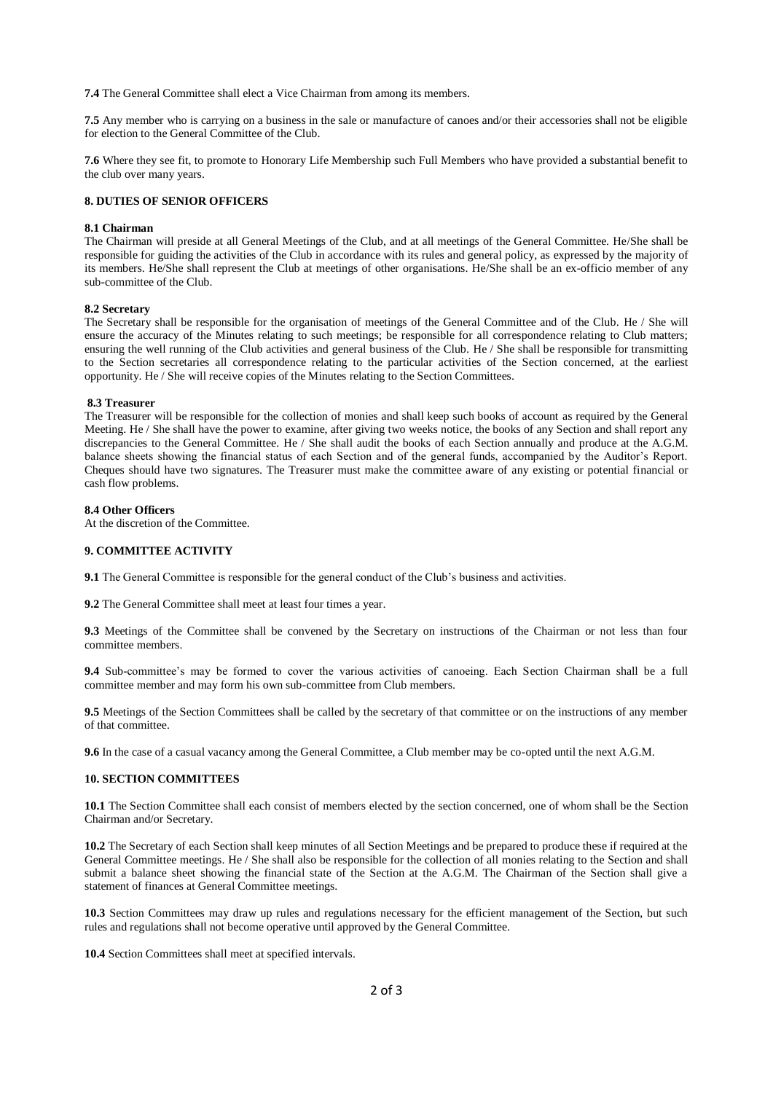**7.4** The General Committee shall elect a Vice Chairman from among its members.

**7.5** Any member who is carrying on a business in the sale or manufacture of canoes and/or their accessories shall not be eligible for election to the General Committee of the Club.

**7.6** Where they see fit, to promote to Honorary Life Membership such Full Members who have provided a substantial benefit to the club over many years.

### **8. DUTIES OF SENIOR OFFICERS**

#### **8.1 Chairman**

The Chairman will preside at all General Meetings of the Club, and at all meetings of the General Committee. He/She shall be responsible for guiding the activities of the Club in accordance with its rules and general policy, as expressed by the majority of its members. He/She shall represent the Club at meetings of other organisations. He/She shall be an ex-officio member of any sub-committee of the Club.

#### **8.2 Secretary**

The Secretary shall be responsible for the organisation of meetings of the General Committee and of the Club. He / She will ensure the accuracy of the Minutes relating to such meetings; be responsible for all correspondence relating to Club matters; ensuring the well running of the Club activities and general business of the Club. He / She shall be responsible for transmitting to the Section secretaries all correspondence relating to the particular activities of the Section concerned, at the earliest opportunity. He / She will receive copies of the Minutes relating to the Section Committees.

#### **8.3 Treasurer**

The Treasurer will be responsible for the collection of monies and shall keep such books of account as required by the General Meeting. He / She shall have the power to examine, after giving two weeks notice, the books of any Section and shall report any discrepancies to the General Committee. He / She shall audit the books of each Section annually and produce at the A.G.M. balance sheets showing the financial status of each Section and of the general funds, accompanied by the Auditor's Report. Cheques should have two signatures. The Treasurer must make the committee aware of any existing or potential financial or cash flow problems.

### **8.4 Other Officers**

At the discretion of the Committee.

# **9. COMMITTEE ACTIVITY**

**9.1** The General Committee is responsible for the general conduct of the Club's business and activities.

**9.2** The General Committee shall meet at least four times a year.

**9.3** Meetings of the Committee shall be convened by the Secretary on instructions of the Chairman or not less than four committee members.

**9.4** Sub-committee's may be formed to cover the various activities of canoeing. Each Section Chairman shall be a full committee member and may form his own sub-committee from Club members.

**9.5** Meetings of the Section Committees shall be called by the secretary of that committee or on the instructions of any member of that committee.

**9.6** In the case of a casual vacancy among the General Committee, a Club member may be co-opted until the next A.G.M.

### **10. SECTION COMMITTEES**

**10.1** The Section Committee shall each consist of members elected by the section concerned, one of whom shall be the Section Chairman and/or Secretary.

**10.2** The Secretary of each Section shall keep minutes of all Section Meetings and be prepared to produce these if required at the General Committee meetings. He / She shall also be responsible for the collection of all monies relating to the Section and shall submit a balance sheet showing the financial state of the Section at the A.G.M. The Chairman of the Section shall give a statement of finances at General Committee meetings.

**10.3** Section Committees may draw up rules and regulations necessary for the efficient management of the Section, but such rules and regulations shall not become operative until approved by the General Committee.

**10.4** Section Committees shall meet at specified intervals.